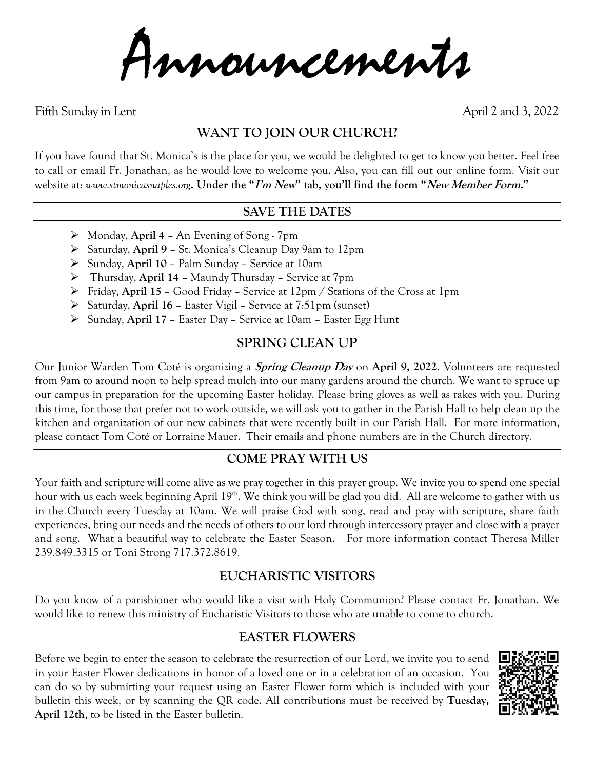Announcements

Fifth Sunday in Lent April 2 and 3, 2022

# **WANT TO JOIN OUR CHURCH?**

If you have found that St. Monica's is the place for you, we would be delighted to get to know you better. Feel free to call or email Fr. Jonathan, as he would love to welcome you. Also, you can fill out our online form. Visit our website at: *www.stmonicasnaples.org***. Under the "I'm New" tab, you'll find the form "New Member Form."**

## **SAVE THE DATES**

- ➢ Monday, **April 4** An Evening of Song 7pm
- ➢ Saturday, **April 9** St. Monica's Cleanup Day 9am to 12pm
- ➢ Sunday, **April 10** Palm Sunday Service at 10am
- ➢ Thursday, **April 14** Maundy Thursday Service at 7pm
- ➢ Friday, **April 15** Good Friday Service at 12pm / Stations of the Cross at 1pm
- ➢ Saturday, **April 16** Easter Vigil Service at 7:51pm (sunset)
- ➢ Sunday, **April 17** Easter Day Service at 10am Easter Egg Hunt

# **SPRING CLEAN UP**

Our Junior Warden Tom Coté is organizing a **Spring Cleanup Day** on **April 9, 2022**. Volunteers are requested from 9am to around noon to help spread mulch into our many gardens around the church. We want to spruce up our campus in preparation for the upcoming Easter holiday. Please bring gloves as well as rakes with you. During this time, for those that prefer not to work outside, we will ask you to gather in the Parish Hall to help clean up the kitchen and organization of our new cabinets that were recently built in our Parish Hall. For more information, please contact Tom Coté or Lorraine Mauer. Their emails and phone numbers are in the Church directory.

# **COME PRAY WITH US**

Your faith and scripture will come alive as we pray together in this prayer group. We invite you to spend one special hour with us each week beginning April 19<sup>th</sup>. We think you will be glad you did. All are welcome to gather with us in the Church every Tuesday at 10am. We will praise God with song, read and pray with scripture, share faith experiences, bring our needs and the needs of others to our lord through intercessory prayer and close with a prayer and song. What a beautiful way to celebrate the Easter Season. For more information contact Theresa Miller 239.849.3315 or Toni Strong 717.372.8619.

# **EUCHARISTIC VISITORS**

Do you know of a parishioner who would like a visit with Holy Communion? Please contact Fr. Jonathan. We would like to renew this ministry of Eucharistic Visitors to those who are unable to come to church.

# **EASTER FLOWERS**

Before we begin to enter the season to celebrate the resurrection of our Lord, we invite you to send in your Easter Flower dedications in honor of a loved one or in a celebration of an occasion. You can do so by submitting your request using an Easter Flower form which is included with your bulletin this week, or by scanning the QR code. All contributions must be received by **Tuesday, April 12th**, to be listed in the Easter bulletin.